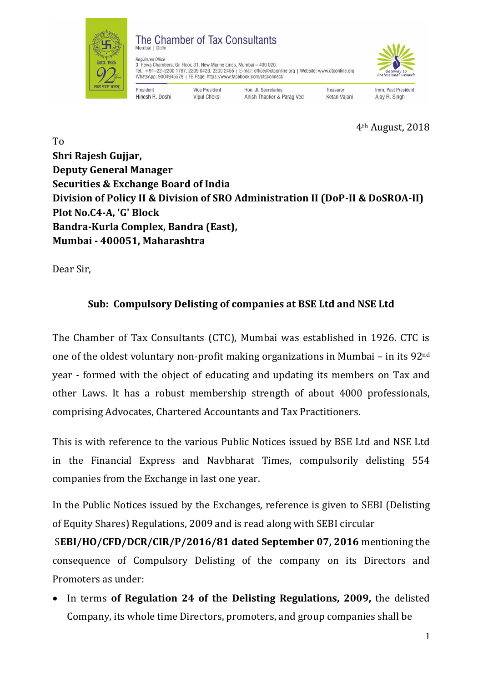

4th August, 2018

To **Shri Rajesh Gujjar, Deputy General Manager Securities & Exchange Board of India Division of Policy II & Division of SRO Administration II (DoP-II & DoSROA-II) Plot No.C4-A, 'G' Block Bandra-Kurla Complex, Bandra (East), Mumbai - 400051, Maharashtra**

Dear Sir,

## **Sub: Compulsory Delisting of companies at BSE Ltd and NSE Ltd**

The Chamber of Tax Consultants (CTC), Mumbai was established in 1926. CTC is one of the oldest voluntary non-profit making organizations in Mumbai – in its 92nd year - formed with the object of educating and updating its members on Tax and other Laws. It has a robust membership strength of about 4000 professionals, comprising Advocates, Chartered Accountants and Tax Practitioners.

This is with reference to the various Public Notices issued by BSE Ltd and NSE Ltd in the Financial Express and Navbharat Times, compulsorily delisting 554 companies from the Exchange in last one year.

In the Public Notices issued by the Exchanges, reference is given to SEBI (Delisting of Equity Shares) Regulations, 2009 and is read along with SEBI circular

S**EBI/HO/CFD/DCR/CIR/P/2016/81 dated September 07, 2016** mentioning the consequence of Compulsory Delisting of the company on its Directors and Promoters as under:

 In terms **of Regulation 24 of the Delisting Regulations, 2009,** the delisted Company, its whole time Directors, promoters, and group companies shall be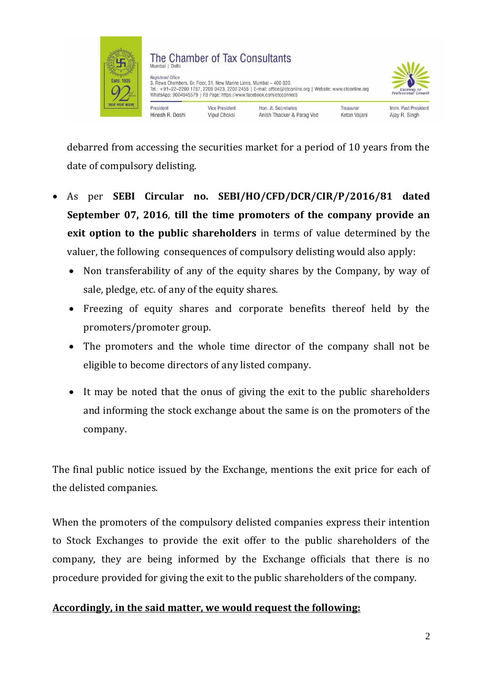

debarred from accessing the securities market for a period of 10 years from the date of compulsory delisting.

- As per **SEBI Circular no. SEBI/HO/CFD/DCR/CIR/P/2016/81 dated September 07, 2016**, **till the time promoters of the company provide an exit option to the public shareholders** in terms of value determined by the valuer, the following consequences of compulsory delisting would also apply:
	- Non transferability of any of the equity shares by the Company, by way of sale, pledge, etc. of any of the equity shares.
	- Freezing of equity shares and corporate benefits thereof held by the promoters/promoter group.
	- The promoters and the whole time director of the company shall not be eligible to become directors of any listed company.
	- It may be noted that the onus of giving the exit to the public shareholders and informing the stock exchange about the same is on the promoters of the company.

The final public notice issued by the Exchange, mentions the exit price for each of the delisted companies.

When the promoters of the compulsory delisted companies express their intention to Stock Exchanges to provide the exit offer to the public shareholders of the company, they are being informed by the Exchange officials that there is no procedure provided for giving the exit to the public shareholders of the company.

## **Accordingly, in the said matter, we would request the following:**